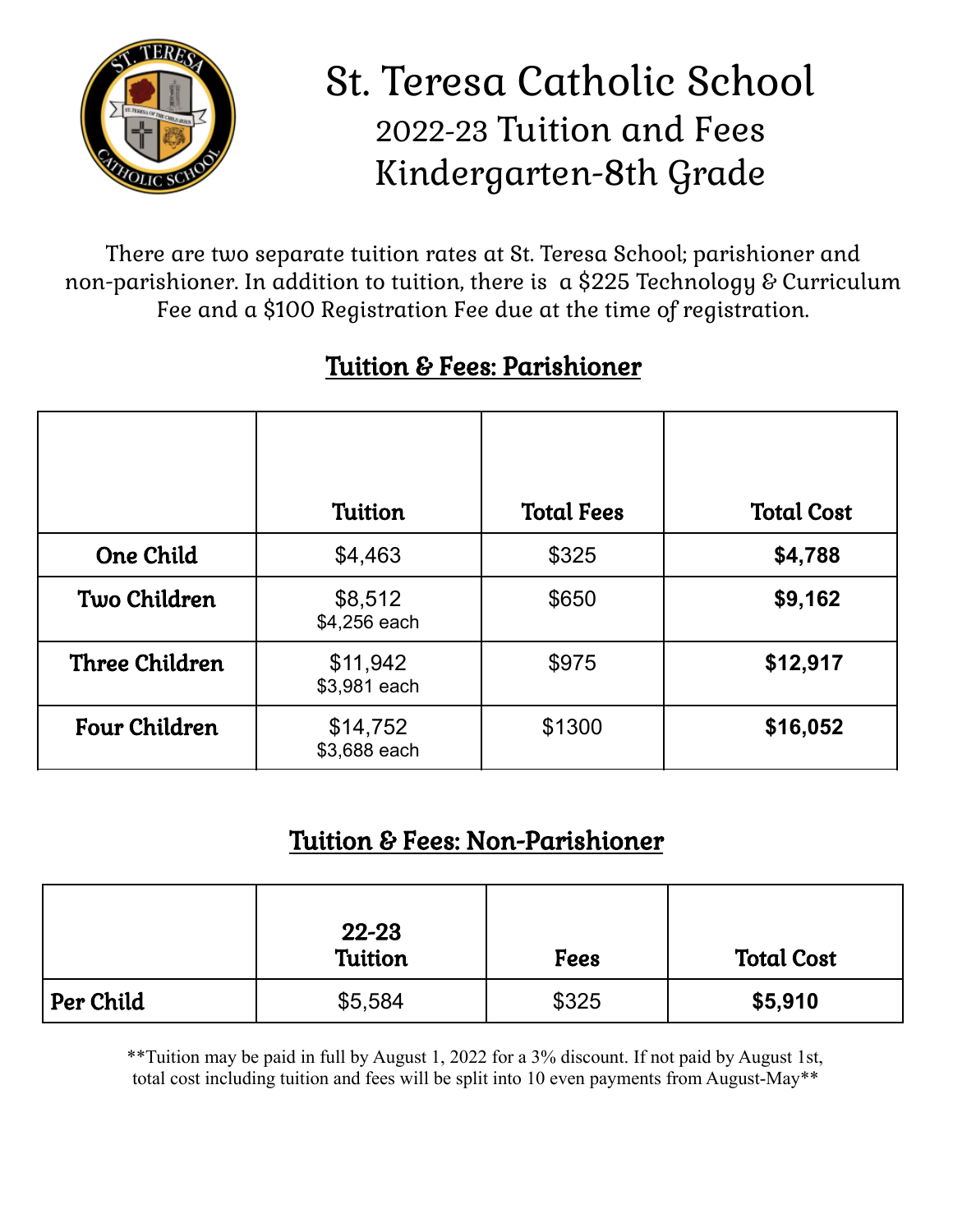

## St. Teresa Catholic School 2022-23 Tuition and Fees Kindergarten-8th Grade

There are two separate tuition rates at St. Teresa School; parishioner and non-parishioner. In addition to tuition, there is a \$225 Technology & Curriculum Fee and a \$100 Registration Fee due at the time of registration.

|                       | <b>Tuition</b>           | <b>Total Fees</b> | <b>Total Cost</b> |
|-----------------------|--------------------------|-------------------|-------------------|
| <b>One Child</b>      | \$4,463                  | \$325             | \$4,788           |
| Two Children          | \$8,512<br>\$4,256 each  | \$650             | \$9,162           |
| <b>Three Children</b> | \$11,942<br>\$3,981 each | \$975             | \$12,917          |
| <b>Four Children</b>  | \$14,752<br>\$3,688 each | \$1300            | \$16,052          |

## Tuition & Fees: Parishioner

## Tuition & Fees: Non-Parishioner

|           | 22-23<br>Tuition | <b>Fees</b> | <b>Total Cost</b> |
|-----------|------------------|-------------|-------------------|
| Per Child | \$5,584          | \$325       | \$5,910           |

\*\*Tuition may be paid in full by August 1, 2022 for a 3% discount. If not paid by August 1st, total cost including tuition and fees will be split into 10 even payments from August-May\*\*